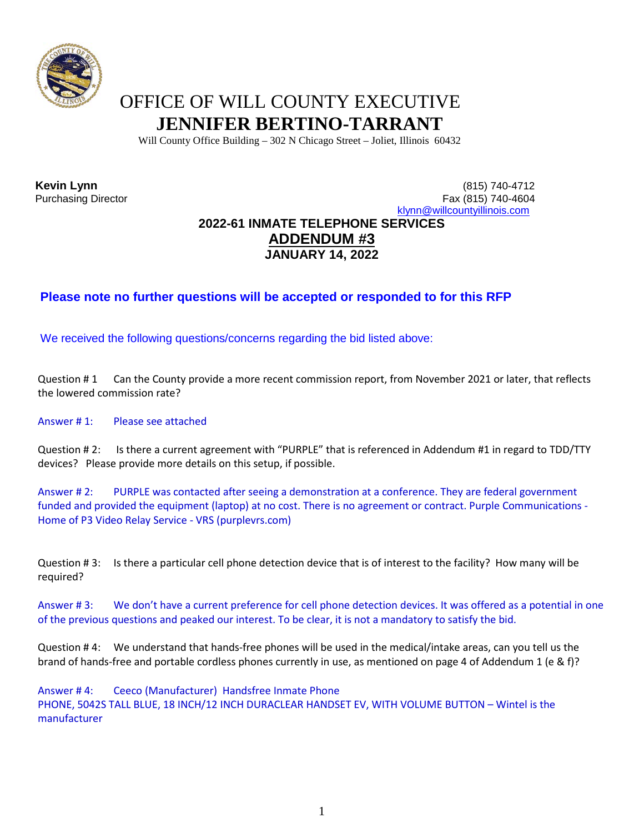

## OFFICE OF WILL COUNTY EXECUTIVE **JENNIFER BERTINO-TARRANT**

Will County Office Building – 302 N Chicago Street – Joliet, Illinois 60432

## **Kevin Lynn** (815) 740-4712 Fax (815) 740-4604 [klynn@willcountyillinois.com](mailto:klynn@willcountyillinois.com) **2022-61 INMATE TELEPHONE SERVICES ADDENDUM #3 JANUARY 14, 2022**

## **Please note no further questions will be accepted or responded to for this RFP**

We received the following questions/concerns regarding the bid listed above:

Question #1 Can the County provide a more recent commission report, from November 2021 or later, that reflects the lowered commission rate?

Answer # 1: Please see attached

Question # 2: Is there a current agreement with "PURPLE" that is referenced in Addendum #1 in regard to TDD/TTY devices? Please provide more details on this setup, if possible.

Answer # 2: PURPLE was contacted after seeing a demonstration at a conference. They are federal government funded and provided the equipment (laptop) at no cost. There is no agreement or contract. Purple Communications - Home of P3 Video Relay Service - VRS (purplevrs.com)

Question # 3: Is there a particular cell phone detection device that is of interest to the facility? How many will be required?

Answer # 3: We don't have a current preference for cell phone detection devices. It was offered as a potential in one of the previous questions and peaked our interest. To be clear, it is not a mandatory to satisfy the bid.

Question # 4: We understand that hands-free phones will be used in the medical/intake areas, can you tell us the brand of hands-free and portable cordless phones currently in use, as mentioned on page 4 of Addendum 1 (e & f)?

Answer # 4: Ceeco (Manufacturer) Handsfree Inmate Phone PHONE, 5042S TALL BLUE, 18 INCH/12 INCH DURACLEAR HANDSET EV, WITH VOLUME BUTTON – Wintel is the manufacturer